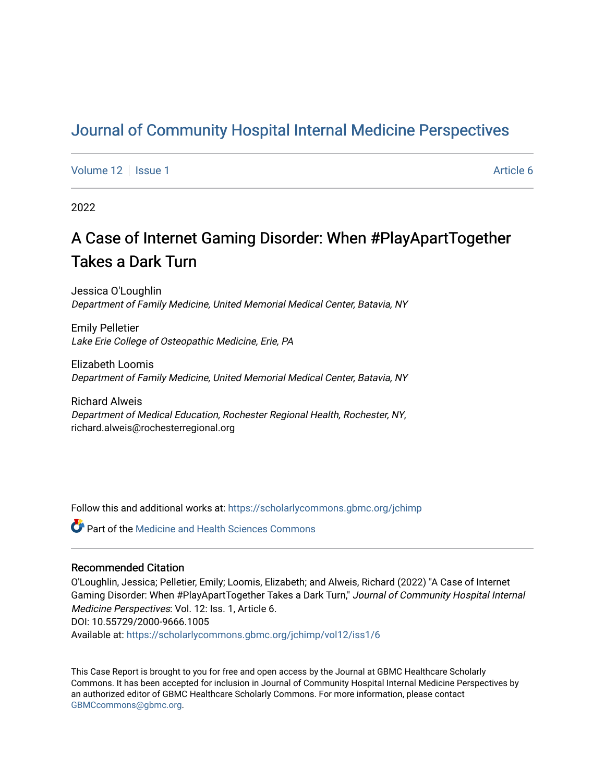# [Journal of Community Hospital Internal Medicine Perspectives](https://scholarlycommons.gbmc.org/jchimp)

[Volume 12](https://scholarlycommons.gbmc.org/jchimp/vol12) | [Issue 1](https://scholarlycommons.gbmc.org/jchimp/vol12/iss1) Article 6

2022

# A Case of Internet Gaming Disorder: When #PlayApartTogether Takes a Dark Turn

Jessica O'Loughlin Department of Family Medicine, United Memorial Medical Center, Batavia, NY

Emily Pelletier Lake Erie College of Osteopathic Medicine, Erie, PA

Elizabeth Loomis Department of Family Medicine, United Memorial Medical Center, Batavia, NY

Richard Alweis Department of Medical Education, Rochester Regional Health, Rochester, NY, richard.alweis@rochesterregional.org

Follow this and additional works at: [https://scholarlycommons.gbmc.org/jchimp](https://scholarlycommons.gbmc.org/jchimp?utm_source=scholarlycommons.gbmc.org%2Fjchimp%2Fvol12%2Fiss1%2F6&utm_medium=PDF&utm_campaign=PDFCoverPages)

**Part of the Medicine and Health Sciences Commons** 

# Recommended Citation

O'Loughlin, Jessica; Pelletier, Emily; Loomis, Elizabeth; and Alweis, Richard (2022) "A Case of Internet Gaming Disorder: When #PlayApartTogether Takes a Dark Turn," Journal of Community Hospital Internal Medicine Perspectives: Vol. 12: Iss. 1, Article 6. DOI: 10.55729/2000-9666.1005 Available at: [https://scholarlycommons.gbmc.org/jchimp/vol12/iss1/6](https://scholarlycommons.gbmc.org/jchimp/vol12/iss1/6?utm_source=scholarlycommons.gbmc.org%2Fjchimp%2Fvol12%2Fiss1%2F6&utm_medium=PDF&utm_campaign=PDFCoverPages) 

This Case Report is brought to you for free and open access by the Journal at GBMC Healthcare Scholarly Commons. It has been accepted for inclusion in Journal of Community Hospital Internal Medicine Perspectives by an authorized editor of GBMC Healthcare Scholarly Commons. For more information, please contact [GBMCcommons@gbmc.org](mailto:GBMCcommons@gbmc.org).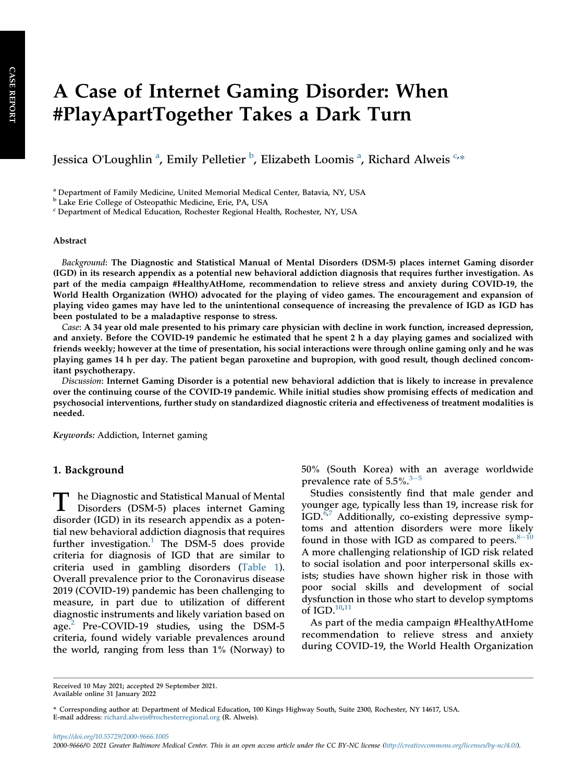# A Case of Internet Gaming Disorder: When #PlayApartTogether Takes a Dark Turn

Jessic[a](#page-1-0) O'Loughlin <sup>a</sup>, Emily Pelletier <sup>[b](#page-1-1)</sup>, Elizabeth Loomis <sup>a</sup>, Ri[c](#page-1-2)hard Alweis <sup>c,</sup>\*

<span id="page-1-0"></span><sup>a</sup> Department of Family Medicine, United Memorial Medical Center, Batavia, NY, USA

<span id="page-1-1"></span><sup>b</sup> Lake Erie College of Osteopathic Medicine, Erie, PA, USA

<span id="page-1-2"></span><sup>c</sup> Department of Medical Education, Rochester Regional Health, Rochester, NY, USA

#### Abstract

Background: The Diagnostic and Statistical Manual of Mental Disorders (DSM-5) places internet Gaming disorder (IGD) in its research appendix as a potential new behavioral addiction diagnosis that requires further investigation. As part of the media campaign #HealthyAtHome, recommendation to relieve stress and anxiety during COVID-19, the World Health Organization (WHO) advocated for the playing of video games. The encouragement and expansion of playing video games may have led to the unintentional consequence of increasing the prevalence of IGD as IGD has been postulated to be a maladaptive response to stress.

Case: A 34 year old male presented to his primary care physician with decline in work function, increased depression, and anxiety. Before the COVID-19 pandemic he estimated that he spent 2 h a day playing games and socialized with friends weekly; however at the time of presentation, his social interactions were through online gaming only and he was playing games 14 h per day. The patient began paroxetine and bupropion, with good result, though declined concomitant psychotherapy.

Discussion: Internet Gaming Disorder is a potential new behavioral addiction that is likely to increase in prevalence over the continuing course of the COVID-19 pandemic. While initial studies show promising effects of medication and psychosocial interventions, further study on standardized diagnostic criteria and effectiveness of treatment modalities is needed.

Keywords: Addiction, Internet gaming

## 1. Background

T he Diagnostic and Statistical Manual of Mental Disorders (DSM-5) places internet Gaming disorder (IGD) in its research appendix as a potential new behavioral addiction diagnosis that requires further investigation.<sup>[1](#page-3-0)</sup> The DSM-5 does provide criteria for diagnosis of IGD that are similar to criteria used in gambling disorders [\(Table 1](#page-2-0)). Overall prevalence prior to the Coronavirus disease 2019 (COVID-19) pandemic has been challenging to measure, in part due to utilization of different diagnostic instruments and likely variation based on age.<sup>[2](#page-3-1)</sup> Pre-COVID-19 studies, using the DSM-5 criteria, found widely variable prevalences around the world, ranging from less than 1% (Norway) to 50% (South Korea) with an average worldwide prevalence rate of  $5.5\%$  $5.5\%$ .<sup>[3](#page-3-2)-5</sup>

Studies consistently find that male gender and younger age, typically less than 19, increase risk for IGD.[6,](#page-3-3)[7](#page-3-4) Additionally, co-existing depressive symptoms and attention disorders were more likely found in those with IGD as compared to peers. $8-10$  $8-10$  $8-10$ A more challenging relationship of IGD risk related to social isolation and poor interpersonal skills exists; studies have shown higher risk in those with poor social skills and development of social dysfunction in those who start to develop symptoms of IGD.<sup>[10,](#page-3-6)[11](#page-3-7)</sup>

As part of the media campaign #HealthyAtHome recommendation to relieve stress and anxiety during COVID-19, the World Health Organization

Received 10 May 2021; accepted 29 September 2021. Available online 31 January 2022

\* Corresponding author at: Department of Medical Education, 100 Kings Highway South, Suite 2300, Rochester, NY 14617, USA. E-mail address: [richard.alweis@rochesterregional.org](mailto:richard.alweis@rochesterregional.org) (R. Alweis).

<https://doi.org/10.55729/2000-9666.1005> 2000-9666/© 2021 Greater Baltimore Medical Center. This is an open access article under the CC BY-NC license [\(http://creativecommons.org/licenses/by-nc/4.0/\)](http://creativecommons.org/licenses/by-nc/4.0/).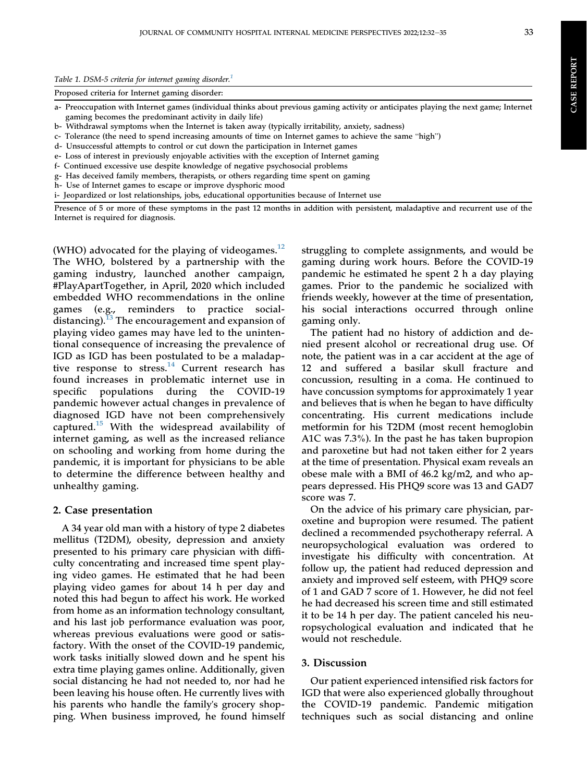<span id="page-2-0"></span>

|  |  | Table 1. DSM-5 criteria for internet gaming disorder. <sup>1</sup> |  |  |  |
|--|--|--------------------------------------------------------------------|--|--|--|
|--|--|--------------------------------------------------------------------|--|--|--|

Proposed criteria for Internet gaming disorder:

a- Preoccupation with Internet games (individual thinks about previous gaming activity or anticipates playing the next game; Internet gaming becomes the predominant activity in daily life)

b- Withdrawal symptoms when the Internet is taken away (typically irritability, anxiety, sadness)

c- Tolerance (the need to spend increasing amounts of time on Internet games to achieve the same "high")

d- Unsuccessful attempts to control or cut down the participation in Internet games

e- Loss of interest in previously enjoyable activities with the exception of Internet gaming

f- Continued excessive use despite knowledge of negative psychosocial problems

g- Has deceived family members, therapists, or others regarding time spent on gaming

h- Use of Internet games to escape or improve dysphoric mood

i- Jeopardized or lost relationships, jobs, educational opportunities because of Internet use

Presence of 5 or more of these symptoms in the past 12 months in addition with persistent, maladaptive and recurrent use of the Internet is required for diagnosis.

(WHO) advocated for the playing of videogames. $^{12}$  $^{12}$  $^{12}$ The WHO, bolstered by a partnership with the gaming industry, launched another campaign, #PlayApartTogether, in April, 2020 which included embedded WHO recommendations in the online games (e.g., reminders to practice social-distancing).<sup>[13](#page-3-9)</sup> The encouragement and expansion of playing video games may have led to the unintentional consequence of increasing the prevalence of IGD as IGD has been postulated to be a maladap-tive response to stress.<sup>[14](#page-4-0)</sup> Current research has found increases in problematic internet use in specific populations during the COVID-19 pandemic however actual changes in prevalence of diagnosed IGD have not been comprehensively captured.[15](#page-4-1) With the widespread availability of internet gaming, as well as the increased reliance on schooling and working from home during the pandemic, it is important for physicians to be able to determine the difference between healthy and unhealthy gaming.

#### 2. Case presentation

A 34 year old man with a history of type 2 diabetes mellitus (T2DM), obesity, depression and anxiety presented to his primary care physician with difficulty concentrating and increased time spent playing video games. He estimated that he had been playing video games for about 14 h per day and noted this had begun to affect his work. He worked from home as an information technology consultant, and his last job performance evaluation was poor, whereas previous evaluations were good or satisfactory. With the onset of the COVID-19 pandemic, work tasks initially slowed down and he spent his extra time playing games online. Additionally, given social distancing he had not needed to, nor had he been leaving his house often. He currently lives with his parents who handle the family's grocery shopping. When business improved, he found himself struggling to complete assignments, and would be gaming during work hours. Before the COVID-19 pandemic he estimated he spent 2 h a day playing games. Prior to the pandemic he socialized with friends weekly, however at the time of presentation, his social interactions occurred through online gaming only.

The patient had no history of addiction and denied present alcohol or recreational drug use. Of note, the patient was in a car accident at the age of 12 and suffered a basilar skull fracture and concussion, resulting in a coma. He continued to have concussion symptoms for approximately 1 year and believes that is when he began to have difficulty concentrating. His current medications include metformin for his T2DM (most recent hemoglobin A1C was 7.3%). In the past he has taken bupropion and paroxetine but had not taken either for 2 years at the time of presentation. Physical exam reveals an obese male with a BMI of 46.2 kg/m2, and who appears depressed. His PHQ9 score was 13 and GAD7 score was 7.

On the advice of his primary care physician, paroxetine and bupropion were resumed. The patient declined a recommended psychotherapy referral. A neuropsychological evaluation was ordered to investigate his difficulty with concentration. At follow up, the patient had reduced depression and anxiety and improved self esteem, with PHQ9 score of 1 and GAD 7 score of 1. However, he did not feel he had decreased his screen time and still estimated it to be 14 h per day. The patient canceled his neuropsychological evaluation and indicated that he would not reschedule.

### 3. Discussion

Our patient experienced intensified risk factors for IGD that were also experienced globally throughout the COVID-19 pandemic. Pandemic mitigation techniques such as social distancing and online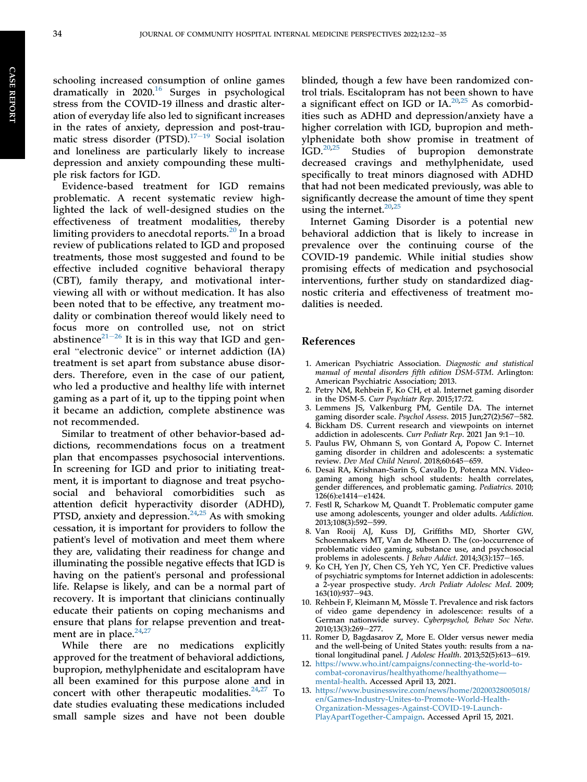schooling increased consumption of online games dramatically in  $2020$ .<sup>[16](#page-4-2)</sup> Surges in psychological stress from the COVID-19 illness and drastic alteration of everyday life also led to significant increases in the rates of anxiety, depression and post-trau-matic stress disorder (PTSD).<sup>[17](#page-4-3)-[19](#page-4-3)</sup> Social isolation and loneliness are particularly likely to increase depression and anxiety compounding these multiple risk factors for IGD.

Evidence-based treatment for IGD remains problematic. A recent systematic review highlighted the lack of well-designed studies on the effectiveness of treatment modalities, thereby limiting providers to anecdotal reports.<sup>[20](#page-4-4)</sup> In a broad review of publications related to IGD and proposed treatments, those most suggested and found to be effective included cognitive behavioral therapy (CBT), family therapy, and motivational interviewing all with or without medication. It has also been noted that to be effective, any treatment modality or combination thereof would likely need to focus more on controlled use, not on strict  $\frac{1}{100}$  abstinence<sup>[21](#page-4-5)–[26](#page-4-5)</sup> It is in this way that IGD and general "electronic device" or internet addiction (IA) treatment is set apart from substance abuse disorders. Therefore, even in the case of our patient, who led a productive and healthy life with internet gaming as a part of it, up to the tipping point when it became an addiction, complete abstinence was not recommended.

Similar to treatment of other behavior-based addictions, recommendations focus on a treatment plan that encompasses psychosocial interventions. In screening for IGD and prior to initiating treatment, it is important to diagnose and treat psychosocial and behavioral comorbidities such as attention deficit hyperactivity disorder (ADHD), PTSD, anxiety and depression. $24,25$  $24,25$  As with smoking cessation, it is important for providers to follow the patient's level of motivation and meet them where they are, validating their readiness for change and illuminating the possible negative effects that IGD is having on the patient's personal and professional life. Relapse is likely, and can be a normal part of recovery. It is important that clinicians continually educate their patients on coping mechanisms and ensure that plans for relapse prevention and treatment are in place. $24,27$  $24,27$  $24,27$ 

While there are no medications explicitly approved for the treatment of behavioral addictions, bupropion, methylphenidate and escitalopram have all been examined for this purpose alone and in concert with other therapeutic modalities. $24,27$  $24,27$  To date studies evaluating these medications included small sample sizes and have not been double

blinded, though a few have been randomized control trials. Escitalopram has not been shown to have a significant effect on IGD or  $IA.^{20,25}$  $IA.^{20,25}$  $IA.^{20,25}$  $IA.^{20,25}$  As comorbidities such as ADHD and depression/anxiety have a higher correlation with IGD, bupropion and methylphenidate both show promise in treatment of  $IGD.<sup>20,25</sup>$  Studies of bupropion demonstrate Studies of bupropion demonstrate decreased cravings and methylphenidate, used specifically to treat minors diagnosed with ADHD that had not been medicated previously, was able to significantly decrease the amount of time they spent using the internet. $20,25$  $20,25$ 

Internet Gaming Disorder is a potential new behavioral addiction that is likely to increase in prevalence over the continuing course of the COVID-19 pandemic. While initial studies show promising effects of medication and psychosocial interventions, further study on standardized diagnostic criteria and effectiveness of treatment modalities is needed.

### References

- <span id="page-3-0"></span>1. American Psychiatric Association. Diagnostic and statistical manual of mental disorders fifth edition DSM-5TM. Arlington: American Psychiatric Association; 2013.
- <span id="page-3-1"></span>2. Petry NM, Rehbein F, Ko CH, et al. Internet gaming disorder in the DSM-5. Curr Psychiatr Rep. 2015;17:72.
- <span id="page-3-2"></span>3. Lemmens JS, Valkenburg PM, Gentile DA. The internet gaming disorder scale. Psychol Assess. 2015 Jun;27(2):567-582.
- 4. Bickham DS. Current research and viewpoints on internet addiction in adolescents. Curr Pediatr Rep. 2021 Jan 9:1-10.
- 5. Paulus FW, Ohmann S, von Gontard A, Popow C. Internet gaming disorder in children and adolescents: a systematic review. Dev Med Child Neurol. 2018;60:645-659.
- <span id="page-3-3"></span>6. Desai RA, Krishnan-Sarin S, Cavallo D, Potenza MN. Videogaming among high school students: health correlates, gender differences, and problematic gaming. Pediatrics. 2010; 126(6):e1414-e1424.
- <span id="page-3-4"></span>7. Festl R, Scharkow M, Quandt T. Problematic computer game use among adolescents, younger and older adults. Addiction. 2013;108(3):592-599.
- <span id="page-3-5"></span>8. Van Rooij AJ, Kuss DJ, Griffiths MD, Shorter GW, Schoenmakers MT, Van de Mheen D. The (co-)occurrence of problematic video gaming, substance use, and psychosocial problems in adolescents. J Behav Addict. 2014;3(3):157-165.
- 9. Ko CH, Yen JY, Chen CS, Yeh YC, Yen CF. Predictive values of psychiatric symptoms for Internet addiction in adolescents: a 2-year prospective study. Arch Pediatr Adolesc Med. 2009; 163(10):937-943.
- <span id="page-3-6"></span>10. Rehbein F, Kleimann M, Mössle T. Prevalence and risk factors of video game dependency in adolescence: results of a German nationwide survey. Cyberpsychol, Behav Soc Netw. 2010:13(3):269-277.
- <span id="page-3-7"></span>11. Romer D, Bagdasarov Z, More E. Older versus newer media and the well-being of United States youth: results from a national longitudinal panel. *J Adolesc Health*.  $2013;52(5):613-619$ .
- <span id="page-3-8"></span>12. [https://www.who.int/campaigns/connecting-the-world-to](https://www.who.int/campaigns/connecting-the-world-to-combat-coronavirus/healthyathome/healthyathome---mental-health)[combat-coronavirus/healthyathome/healthyathome](https://www.who.int/campaigns/connecting-the-world-to-combat-coronavirus/healthyathome/healthyathome---mental-health) [mental-health.](https://www.who.int/campaigns/connecting-the-world-to-combat-coronavirus/healthyathome/healthyathome---mental-health) Accessed April 13, 2021.
- <span id="page-3-9"></span>13. [https://www.businesswire.com/news/home/20200328005018/](https://www.businesswire.com/news/home/20200328005018/en/Games-Industry-Unites-to-Promote-World-Health-Organization-Messages-Against-COVID-19-Launch-PlayApartTogether-Campaign) [en/Games-Industry-Unites-to-Promote-World-Health-](https://www.businesswire.com/news/home/20200328005018/en/Games-Industry-Unites-to-Promote-World-Health-Organization-Messages-Against-COVID-19-Launch-PlayApartTogether-Campaign)[Organization-Messages-Against-COVID-19-Launch-](https://www.businesswire.com/news/home/20200328005018/en/Games-Industry-Unites-to-Promote-World-Health-Organization-Messages-Against-COVID-19-Launch-PlayApartTogether-Campaign)[PlayApartTogether-Campaign](https://www.businesswire.com/news/home/20200328005018/en/Games-Industry-Unites-to-Promote-World-Health-Organization-Messages-Against-COVID-19-Launch-PlayApartTogether-Campaign). Accessed April 15, 2021.